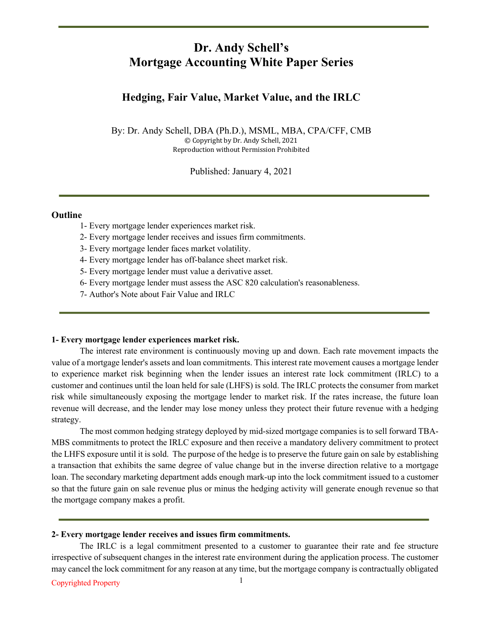## **Dr. Andy Schell's Mortgage Accounting White Paper Series**

### **Hedging, Fair Value, Market Value, and the IRLC**

By: Dr. Andy Schell, DBA (Ph.D.), MSML, MBA, CPA/CFF, CMB © Copyright by Dr. Andy Schell, 2021 Reproduction without Permission Prohibited

Published: January 4, 2021

#### **Outline**

- 1- Every mortgage lender experiences market risk.
- 2- Every mortgage lender receives and issues firm commitments.
- 3- Every mortgage lender faces market volatility.
- 4- Every mortgage lender has off-balance sheet market risk.
- 5- Every mortgage lender must value a derivative asset.
- 6- Every mortgage lender must assess the ASC 820 calculation's reasonableness.
- 7- Author's Note about Fair Value and IRLC

#### **1- Every mortgage lender experiences market risk.**

The interest rate environment is continuously moving up and down. Each rate movement impacts the value of a mortgage lender's assets and loan commitments. This interest rate movement causes a mortgage lender to experience market risk beginning when the lender issues an interest rate lock commitment (IRLC) to a customer and continues until the loan held for sale (LHFS) is sold. The IRLC protects the consumer from market risk while simultaneously exposing the mortgage lender to market risk. If the rates increase, the future loan revenue will decrease, and the lender may lose money unless they protect their future revenue with a hedging strategy.

The most common hedging strategy deployed by mid-sized mortgage companies is to sell forward TBA-MBS commitments to protect the IRLC exposure and then receive a mandatory delivery commitment to protect the LHFS exposure until it is sold. The purpose of the hedge is to preserve the future gain on sale by establishing a transaction that exhibits the same degree of value change but in the inverse direction relative to a mortgage loan. The secondary marketing department adds enough mark-up into the lock commitment issued to a customer so that the future gain on sale revenue plus or minus the hedging activity will generate enough revenue so that the mortgage company makes a profit.

#### **2- Every mortgage lender receives and issues firm commitments.**

The IRLC is a legal commitment presented to a customer to guarantee their rate and fee structure irrespective of subsequent changes in the interest rate environment during the application process. The customer may cancel the lock commitment for any reason at any time, but the mortgage company is contractually obligated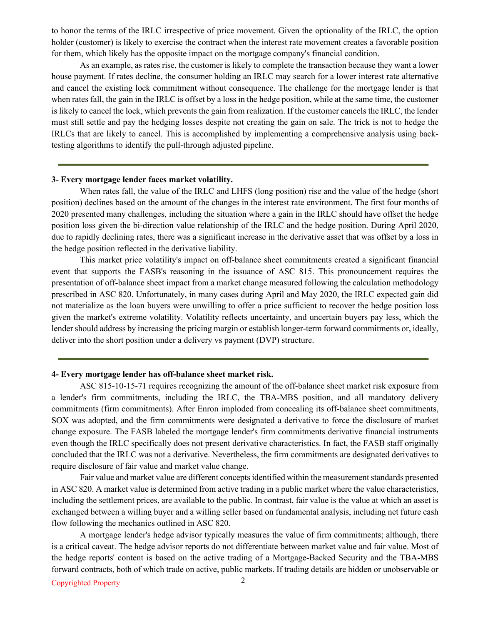to honor the terms of the IRLC irrespective of price movement. Given the optionality of the IRLC, the option holder (customer) is likely to exercise the contract when the interest rate movement creates a favorable position for them, which likely has the opposite impact on the mortgage company's financial condition.

As an example, as rates rise, the customer is likely to complete the transaction because they want a lower house payment. If rates decline, the consumer holding an IRLC may search for a lower interest rate alternative and cancel the existing lock commitment without consequence. The challenge for the mortgage lender is that when rates fall, the gain in the IRLC is offset by a loss in the hedge position, while at the same time, the customer is likely to cancel the lock, which prevents the gain from realization. If the customer cancels the IRLC, the lender must still settle and pay the hedging losses despite not creating the gain on sale. The trick is not to hedge the IRLCs that are likely to cancel. This is accomplished by implementing a comprehensive analysis using backtesting algorithms to identify the pull-through adjusted pipeline.

#### **3- Every mortgage lender faces market volatility.**

When rates fall, the value of the IRLC and LHFS (long position) rise and the value of the hedge (short position) declines based on the amount of the changes in the interest rate environment. The first four months of 2020 presented many challenges, including the situation where a gain in the IRLC should have offset the hedge position loss given the bi-direction value relationship of the IRLC and the hedge position. During April 2020, due to rapidly declining rates, there was a significant increase in the derivative asset that was offset by a loss in the hedge position reflected in the derivative liability.

This market price volatility's impact on off-balance sheet commitments created a significant financial event that supports the FASB's reasoning in the issuance of ASC 815. This pronouncement requires the presentation of off-balance sheet impact from a market change measured following the calculation methodology prescribed in ASC 820. Unfortunately, in many cases during April and May 2020, the IRLC expected gain did not materialize as the loan buyers were unwilling to offer a price sufficient to recover the hedge position loss given the market's extreme volatility. Volatility reflects uncertainty, and uncertain buyers pay less, which the lender should address by increasing the pricing margin or establish longer-term forward commitments or, ideally, deliver into the short position under a delivery vs payment (DVP) structure.

#### **4- Every mortgage lender has off-balance sheet market risk.**

ASC 815-10-15-71 requires recognizing the amount of the off-balance sheet market risk exposure from a lender's firm commitments, including the IRLC, the TBA-MBS position, and all mandatory delivery commitments (firm commitments). After Enron imploded from concealing its off-balance sheet commitments, SOX was adopted, and the firm commitments were designated a derivative to force the disclosure of market change exposure. The FASB labeled the mortgage lender's firm commitments derivative financial instruments even though the IRLC specifically does not present derivative characteristics. In fact, the FASB staff originally concluded that the IRLC was not a derivative. Nevertheless, the firm commitments are designated derivatives to require disclosure of fair value and market value change.

Fair value and market value are different concepts identified within the measurement standards presented in ASC 820. A market value is determined from active trading in a public market where the value characteristics, including the settlement prices, are available to the public. In contrast, fair value is the value at which an asset is exchanged between a willing buyer and a willing seller based on fundamental analysis, including net future cash flow following the mechanics outlined in ASC 820.

A mortgage lender's hedge advisor typically measures the value of firm commitments; although, there is a critical caveat. The hedge advisor reports do not differentiate between market value and fair value. Most of the hedge reports' content is based on the active trading of a Mortgage-Backed Security and the TBA-MBS forward contracts, both of which trade on active, public markets. If trading details are hidden or unobservable or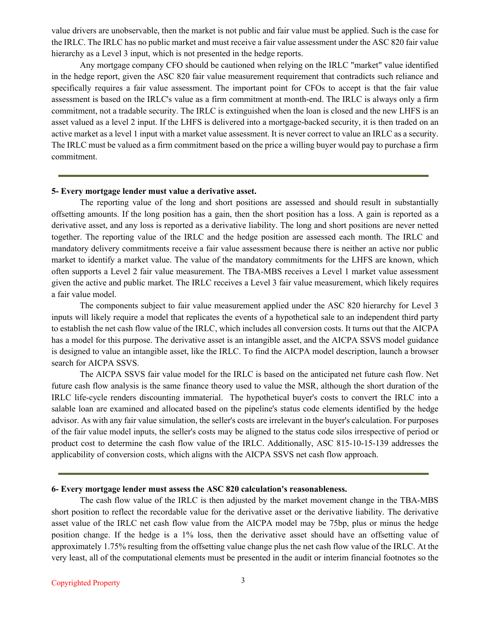value drivers are unobservable, then the market is not public and fair value must be applied. Such is the case for the IRLC. The IRLC has no public market and must receive a fair value assessment under the ASC 820 fair value hierarchy as a Level 3 input, which is not presented in the hedge reports.

Any mortgage company CFO should be cautioned when relying on the IRLC "market" value identified in the hedge report, given the ASC 820 fair value measurement requirement that contradicts such reliance and specifically requires a fair value assessment. The important point for CFOs to accept is that the fair value assessment is based on the IRLC's value as a firm commitment at month-end. The IRLC is always only a firm commitment, not a tradable security. The IRLC is extinguished when the loan is closed and the new LHFS is an asset valued as a level 2 input. If the LHFS is delivered into a mortgage-backed security, it is then traded on an active market as a level 1 input with a market value assessment. It is never correct to value an IRLC as a security. The IRLC must be valued as a firm commitment based on the price a willing buyer would pay to purchase a firm commitment.

#### **5- Every mortgage lender must value a derivative asset.**

The reporting value of the long and short positions are assessed and should result in substantially offsetting amounts. If the long position has a gain, then the short position has a loss. A gain is reported as a derivative asset, and any loss is reported as a derivative liability. The long and short positions are never netted together. The reporting value of the IRLC and the hedge position are assessed each month. The IRLC and mandatory delivery commitments receive a fair value assessment because there is neither an active nor public market to identify a market value. The value of the mandatory commitments for the LHFS are known, which often supports a Level 2 fair value measurement. The TBA-MBS receives a Level 1 market value assessment given the active and public market. The IRLC receives a Level 3 fair value measurement, which likely requires a fair value model.

The components subject to fair value measurement applied under the ASC 820 hierarchy for Level 3 inputs will likely require a model that replicates the events of a hypothetical sale to an independent third party to establish the net cash flow value of the IRLC, which includes all conversion costs. It turns out that the AICPA has a model for this purpose. The derivative asset is an intangible asset, and the AICPA SSVS model guidance is designed to value an intangible asset, like the IRLC. To find the AICPA model description, launch a browser search for AICPA SSVS.

The AICPA SSVS fair value model for the IRLC is based on the anticipated net future cash flow. Net future cash flow analysis is the same finance theory used to value the MSR, although the short duration of the IRLC life-cycle renders discounting immaterial. The hypothetical buyer's costs to convert the IRLC into a salable loan are examined and allocated based on the pipeline's status code elements identified by the hedge advisor. As with any fair value simulation, the seller's costs are irrelevant in the buyer's calculation. For purposes of the fair value model inputs, the seller's costs may be aligned to the status code silos irrespective of period or product cost to determine the cash flow value of the IRLC. Additionally, ASC 815-10-15-139 addresses the applicability of conversion costs, which aligns with the AICPA SSVS net cash flow approach.

#### **6- Every mortgage lender must assess the ASC 820 calculation's reasonableness.**

The cash flow value of the IRLC is then adjusted by the market movement change in the TBA-MBS short position to reflect the recordable value for the derivative asset or the derivative liability. The derivative asset value of the IRLC net cash flow value from the AICPA model may be 75bp, plus or minus the hedge position change. If the hedge is a 1% loss, then the derivative asset should have an offsetting value of approximately 1.75% resulting from the offsetting value change plus the net cash flow value of the IRLC. At the very least, all of the computational elements must be presented in the audit or interim financial footnotes so the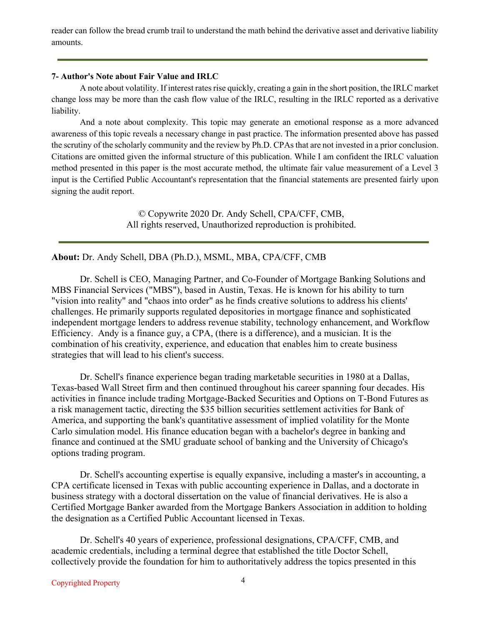reader can follow the bread crumb trail to understand the math behind the derivative asset and derivative liability amounts.

#### **7- Author's Note about Fair Value and IRLC**

A note about volatility. If interest rates rise quickly, creating a gain in the short position, the IRLC market change loss may be more than the cash flow value of the IRLC, resulting in the IRLC reported as a derivative liability.

And a note about complexity. This topic may generate an emotional response as a more advanced awareness of this topic reveals a necessary change in past practice. The information presented above has passed the scrutiny of the scholarly community and the review by Ph.D. CPAs that are not invested in a prior conclusion. Citations are omitted given the informal structure of this publication. While I am confident the IRLC valuation method presented in this paper is the most accurate method, the ultimate fair value measurement of a Level 3 input is the Certified Public Accountant's representation that the financial statements are presented fairly upon signing the audit report.

> © Copywrite 2020 Dr. Andy Schell, CPA/CFF, CMB, All rights reserved, Unauthorized reproduction is prohibited.

**About:** Dr. Andy Schell, DBA (Ph.D.), MSML, MBA, CPA/CFF, CMB

Dr. Schell is CEO, Managing Partner, and Co-Founder of Mortgage Banking Solutions and MBS Financial Services ("MBS"), based in Austin, Texas. He is known for his ability to turn "vision into reality" and "chaos into order" as he finds creative solutions to address his clients' challenges. He primarily supports regulated depositories in mortgage finance and sophisticated independent mortgage lenders to address revenue stability, technology enhancement, and Workflow Efficiency. Andy is a finance guy, a CPA, (there is a difference), and a musician. It is the combination of his creativity, experience, and education that enables him to create business strategies that will lead to his client's success.

Dr. Schell's finance experience began trading marketable securities in 1980 at a Dallas, Texas-based Wall Street firm and then continued throughout his career spanning four decades. His activities in finance include trading Mortgage-Backed Securities and Options on T-Bond Futures as a risk management tactic, directing the \$35 billion securities settlement activities for Bank of America, and supporting the bank's quantitative assessment of implied volatility for the Monte Carlo simulation model. His finance education began with a bachelor's degree in banking and finance and continued at the SMU graduate school of banking and the University of Chicago's options trading program.

Dr. Schell's accounting expertise is equally expansive, including a master's in accounting, a CPA certificate licensed in Texas with public accounting experience in Dallas, and a doctorate in business strategy with a doctoral dissertation on the value of financial derivatives. He is also a Certified Mortgage Banker awarded from the Mortgage Bankers Association in addition to holding the designation as a Certified Public Accountant licensed in Texas.

Dr. Schell's 40 years of experience, professional designations, CPA/CFF, CMB, and academic credentials, including a terminal degree that established the title Doctor Schell, collectively provide the foundation for him to authoritatively address the topics presented in this